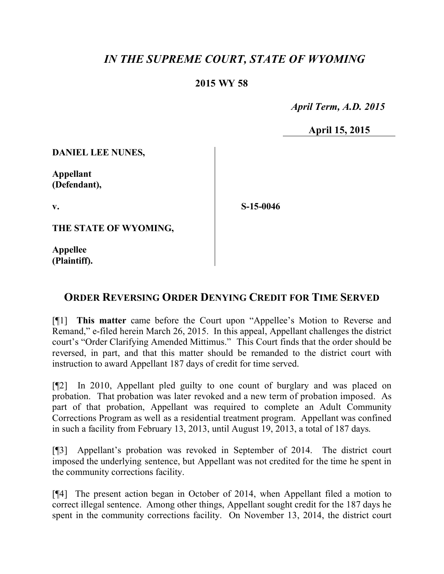## *IN THE SUPREME COURT, STATE OF WYOMING*

## **2015 WY 58**

 *April Term, A.D. 2015*

**April 15, 2015**

**DANIEL LEE NUNES,**

**Appellant (Defendant),**

**v.**

**S-15-0046**

**THE STATE OF WYOMING,**

**Appellee (Plaintiff).**

## **ORDER REVERSING ORDER DENYING CREDIT FOR TIME SERVED**

[¶1] **This matter** came before the Court upon "Appellee's Motion to Reverse and Remand," e-filed herein March 26, 2015. In this appeal, Appellant challenges the district court's "Order Clarifying Amended Mittimus." This Court finds that the order should be reversed, in part, and that this matter should be remanded to the district court with instruction to award Appellant 187 days of credit for time served.

[¶2] In 2010, Appellant pled guilty to one count of burglary and was placed on probation. That probation was later revoked and a new term of probation imposed. As part of that probation, Appellant was required to complete an Adult Community Corrections Program as well as a residential treatment program. Appellant was confined in such a facility from February 13, 2013, until August 19, 2013, a total of 187 days.

[¶3] Appellant's probation was revoked in September of 2014. The district court imposed the underlying sentence, but Appellant was not credited for the time he spent in the community corrections facility.

[¶4] The present action began in October of 2014, when Appellant filed a motion to correct illegal sentence. Among other things, Appellant sought credit for the 187 days he spent in the community corrections facility. On November 13, 2014, the district court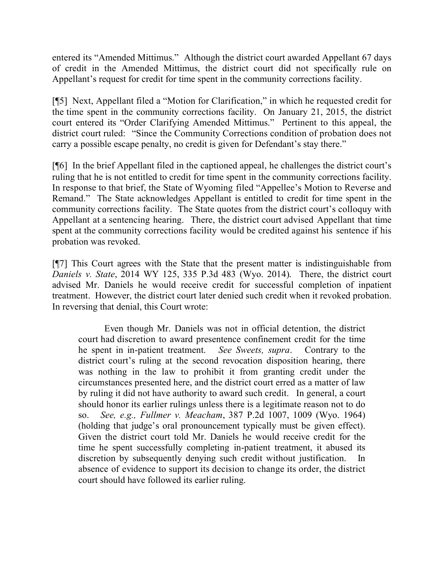entered its "Amended Mittimus." Although the district court awarded Appellant 67 days of credit in the Amended Mittimus, the district court did not specifically rule on Appellant's request for credit for time spent in the community corrections facility.

[¶5] Next, Appellant filed a "Motion for Clarification," in which he requested credit for the time spent in the community corrections facility. On January 21, 2015, the district court entered its "Order Clarifying Amended Mittimus." Pertinent to this appeal, the district court ruled: "Since the Community Corrections condition of probation does not carry a possible escape penalty, no credit is given for Defendant's stay there."

[¶6] In the brief Appellant filed in the captioned appeal, he challenges the district court's ruling that he is not entitled to credit for time spent in the community corrections facility. In response to that brief, the State of Wyoming filed "Appellee's Motion to Reverse and Remand." The State acknowledges Appellant is entitled to credit for time spent in the community corrections facility. The State quotes from the district court's colloquy with Appellant at a sentencing hearing. There, the district court advised Appellant that time spent at the community corrections facility would be credited against his sentence if his probation was revoked.

[¶7] This Court agrees with the State that the present matter is indistinguishable from *Daniels v. State*, 2014 WY 125, 335 P.3d 483 (Wyo. 2014). There, the district court advised Mr. Daniels he would receive credit for successful completion of inpatient treatment. However, the district court later denied such credit when it revoked probation. In reversing that denial, this Court wrote:

Even though Mr. Daniels was not in official detention, the district court had discretion to award presentence confinement credit for the time he spent in in-patient treatment. *See Sweets, supra*. Contrary to the district court's ruling at the second revocation disposition hearing, there was nothing in the law to prohibit it from granting credit under the circumstances presented here, and the district court erred as a matter of law by ruling it did not have authority to award such credit. In general, a court should honor its earlier rulings unless there is a legitimate reason not to do so. *See, e.g., Fullmer v. Meacham*, 387 P.2d 1007, 1009 (Wyo. 1964) (holding that judge's oral pronouncement typically must be given effect). Given the district court told Mr. Daniels he would receive credit for the time he spent successfully completing in-patient treatment, it abused its discretion by subsequently denying such credit without justification. In absence of evidence to support its decision to change its order, the district court should have followed its earlier ruling.